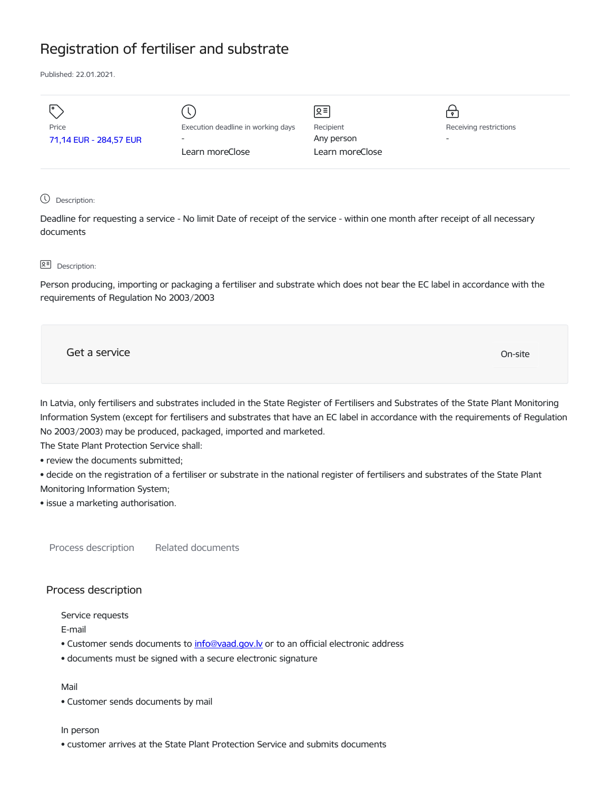# Registration of fertiliser and substrate

Published: 22.01.2021.

|                        |                                    | ∣়≡             |                        |
|------------------------|------------------------------------|-----------------|------------------------|
| Price                  | Execution deadline in working days | Recipient       | Receiving restrictions |
| 71,14 EUR - 284,57 EUR | $\overline{\phantom{a}}$           | Any person      |                        |
|                        | Learn moreClose                    | Learn moreClose |                        |
|                        |                                    |                 |                        |
|                        |                                    |                 |                        |

Description:

Deadline for requesting a service - No limit Date of receipt of the service - within one month after receipt of all necessary documents

# **Q<sup></sup> Description:**

Person producing, importing or packaging a fertiliser and substrate which does not bear the EC label in accordance with the requirements of Regulation No 2003/2003

Get a service On-site

In Latvia, only fertilisers and substrates included in the State Register of Fertilisers and Substrates of the State Plant Monitoring Information System (except for fertilisers and substrates that have an EC label in accordance with the requirements of Regulation No 2003/2003) may be produced, packaged, imported and marketed.

The State Plant Protection Service shall:

• review the documents submitted;

• decide on the registration of a fertiliser or substrate in the national register of fertilisers and substrates of the State Plant Monitoring Information System;

• issue a marketing authorisation.

Process description Related documents

# Process description

Service requests

E-mail

- Customer sends documents to info@vaad.gov.ly or to an official electronic address
- documents must be signed with a secure electronic signature

## Mail

• Customer sends documents by mail

#### In person

• customer arrives at the State Plant Protection Service and submits documents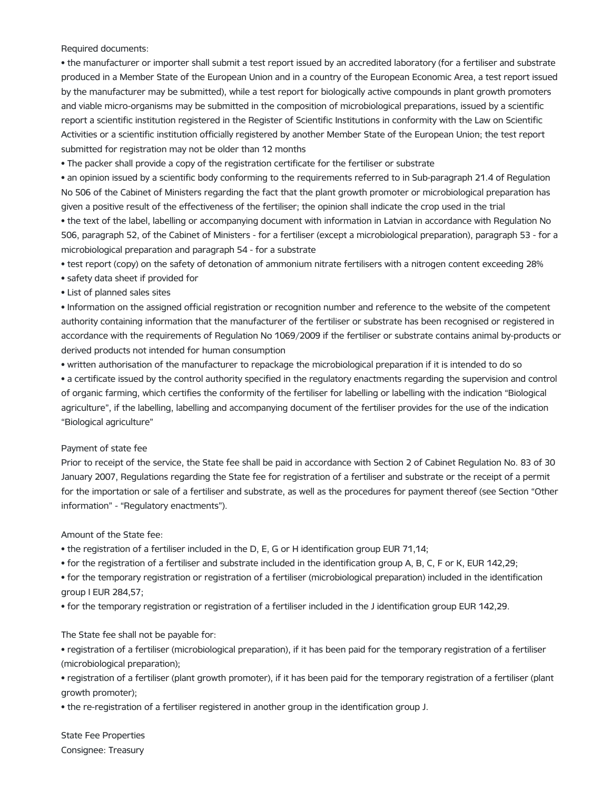Required documents:

• the manufacturer or importer shall submit a test report issued by an accredited laboratory (for a fertiliser and substrate produced in a Member State of the European Union and in a country of the European Economic Area, a test report issued by the manufacturer may be submitted), while a test report for biologically active compounds in plant growth promoters and viable micro-organisms may be submitted in the composition of microbiological preparations, issued by a scientific report a scientific institution registered in the Register of Scientific Institutions in conformity with the Law on Scientific Activities or a scientific institution officially registered by another Member State of the European Union; the test report submitted for registration may not be older than 12 months

• The packer shall provide a copy of the registration certificate for the fertiliser or substrate

• an opinion issued by a scientific body conforming to the requirements referred to in Sub-paragraph 21.4 of Regulation No 506 of the Cabinet of Ministers regarding the fact that the plant growth promoter or microbiological preparation has given a positive result of the effectiveness of the fertiliser; the opinion shall indicate the crop used in the trial

• the text of the label, labelling or accompanying document with information in Latvian in accordance with Regulation No 506, paragraph 52, of the Cabinet of Ministers - for a fertiliser (except a microbiological preparation), paragraph 53 - for a microbiological preparation and paragraph 54 - for a substrate

• test report (copy) on the safety of detonation of ammonium nitrate fertilisers with a nitrogen content exceeding 28%

• safety data sheet if provided for

## • List of planned sales sites

• Information on the assigned official registration or recognition number and reference to the website of the competent authority containing information that the manufacturer of the fertiliser or substrate has been recognised or registered in accordance with the requirements of Regulation No 1069/2009 if the fertiliser or substrate contains animal by-products or derived products not intended for human consumption

• written authorisation of the manufacturer to repackage the microbiological preparation if it is intended to do so

• a certificate issued by the control authority specified in the regulatory enactments regarding the supervision and control of organic farming, which certifies the conformity of the fertiliser for labelling or labelling with the indication "Biological agriculture", if the labelling, labelling and accompanying document of the fertiliser provides for the use of the indication "Biological agriculture"

#### Payment of state fee

Prior to receipt of the service, the State fee shall be paid in accordance with Section 2 of Cabinet Regulation No. 83 of 30 January 2007, Regulations regarding the State fee for registration of a fertiliser and substrate or the receipt of a permit for the importation or sale of a fertiliser and substrate, as well as the procedures for payment thereof (see Section "Other information" - "Regulatory enactments").

Amount of the State fee:

• the registration of a fertiliser included in the D, E, G or H identification group EUR 71,14;

• for the registration of a fertiliser and substrate included in the identification group A, B, C, F or K, EUR 142,29;

• for the temporary registration or registration of a fertiliser (microbiological preparation) included in the identification group I EUR 284,57;

• for the temporary registration or registration of a fertiliser included in the J identification group EUR 142,29.

### The State fee shall not be payable for:

• registration of a fertiliser (microbiological preparation), if it has been paid for the temporary registration of a fertiliser (microbiological preparation);

• registration of a fertiliser (plant growth promoter), if it has been paid for the temporary registration of a fertiliser (plant growth promoter);

• the re-registration of a fertiliser registered in another group in the identification group J.

State Fee Properties Consignee: Treasury